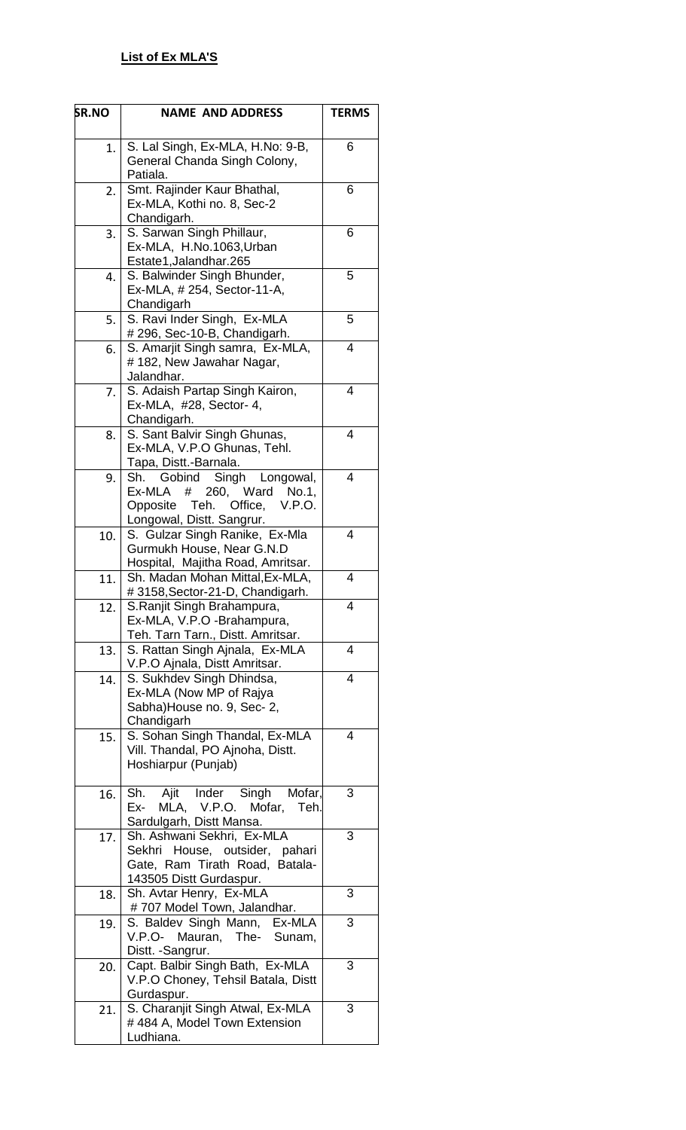| SR.NO | <b>NAME AND ADDRESS</b>                                                                                                                     | <b>TERMS</b> |
|-------|---------------------------------------------------------------------------------------------------------------------------------------------|--------------|
| 1.    | S. Lal Singh, Ex-MLA, H.No: 9-B,<br>General Chanda Singh Colony,<br>Patiala.                                                                | 6            |
| 2.    | Smt. Rajinder Kaur Bhathal,<br>Ex-MLA, Kothi no. 8, Sec-2<br>Chandigarh.                                                                    | 6            |
| 3.    | S. Sarwan Singh Phillaur,<br>Ex-MLA, H.No.1063, Urban<br>Estate1, Jalandhar.265                                                             | 6            |
| 4.    | S. Balwinder Singh Bhunder,<br>Ex-MLA, #254, Sector-11-A,<br>Chandigarh                                                                     | 5            |
| 5.    | S. Ravi Inder Singh, Ex-MLA<br># 296, Sec-10-B, Chandigarh.                                                                                 | 5            |
| 6.    | S. Amarjit Singh samra, Ex-MLA,<br># 182, New Jawahar Nagar,<br>Jalandhar.                                                                  | 4            |
| 7.    | S. Adaish Partap Singh Kairon,<br>Ex-MLA, #28, Sector- 4,<br>Chandigarh.                                                                    | 4            |
| 8.    | S. Sant Balvir Singh Ghunas,<br>Ex-MLA, V.P.O Ghunas, Tehl.<br>Tapa, Distt.-Barnala.                                                        | 4            |
| 9.    | Singh Longowal,<br>Sh.<br>Gobind<br>260,<br>Ex-MLA<br>#<br>Ward<br>No.1,<br>Opposite<br>Teh. Office,<br>V.P.O.<br>Longowal, Distt. Sangrur. | 4            |
| 10.   | S. Gulzar Singh Ranike, Ex-Mla<br>Gurmukh House, Near G.N.D<br>Hospital, Majitha Road, Amritsar.                                            | 4            |
| 11.   | Sh. Madan Mohan Mittal, Ex-MLA,<br>#3158, Sector-21-D, Chandigarh.                                                                          | 4            |
| 12.   | S.Ranjit Singh Brahampura,<br>Ex-MLA, V.P.O -Brahampura,<br>Teh. Tarn Tarn., Distt. Amritsar.                                               | 4            |
| 13.   | S. Rattan Singh Ajnala, Ex-MLA<br>V.P.O Ajnala, Distt Amritsar.                                                                             | 4            |
| 14.   | S. Sukhdev Singh Dhindsa,<br>Ex-MLA (Now MP of Rajya<br>Sabha) House no. 9, Sec- 2,<br>Chandigarh                                           | 4            |
| 15.   | S. Sohan Singh Thandal, Ex-MLA<br>Vill. Thandal, PO Ajnoha, Distt.<br>Hoshiarpur (Punjab)                                                   | 4            |
| 16.   | Ajit Inder Singh<br>Mofar,<br>Sh.<br>MLA, V.P.O.<br>Mofar,<br>Ex-<br>Teh.<br>Sardulgarh, Distt Mansa.                                       | 3            |
| 17.   | Sh. Ashwani Sekhri, Ex-MLA<br>Sekhri<br>House, outsider, pahari<br>Gate, Ram Tirath Road, Batala-<br>143505 Distt Gurdaspur.                | 3            |
| 18.   | Sh. Avtar Henry, Ex-MLA<br>#707 Model Town, Jalandhar.                                                                                      | 3            |
| 19.   | S. Baldev Singh Mann, Ex-MLA<br>Mauran,<br>The- Sunam,<br>V.P.O-<br>Distt. - Sangrur.                                                       | 3            |
| 20.   | Capt. Balbir Singh Bath, Ex-MLA<br>V.P.O Choney, Tehsil Batala, Distt<br>Gurdaspur.                                                         | 3            |
| 21.   | S. Charanjit Singh Atwal, Ex-MLA<br>#484 A, Model Town Extension<br>Ludhiana.                                                               | 3            |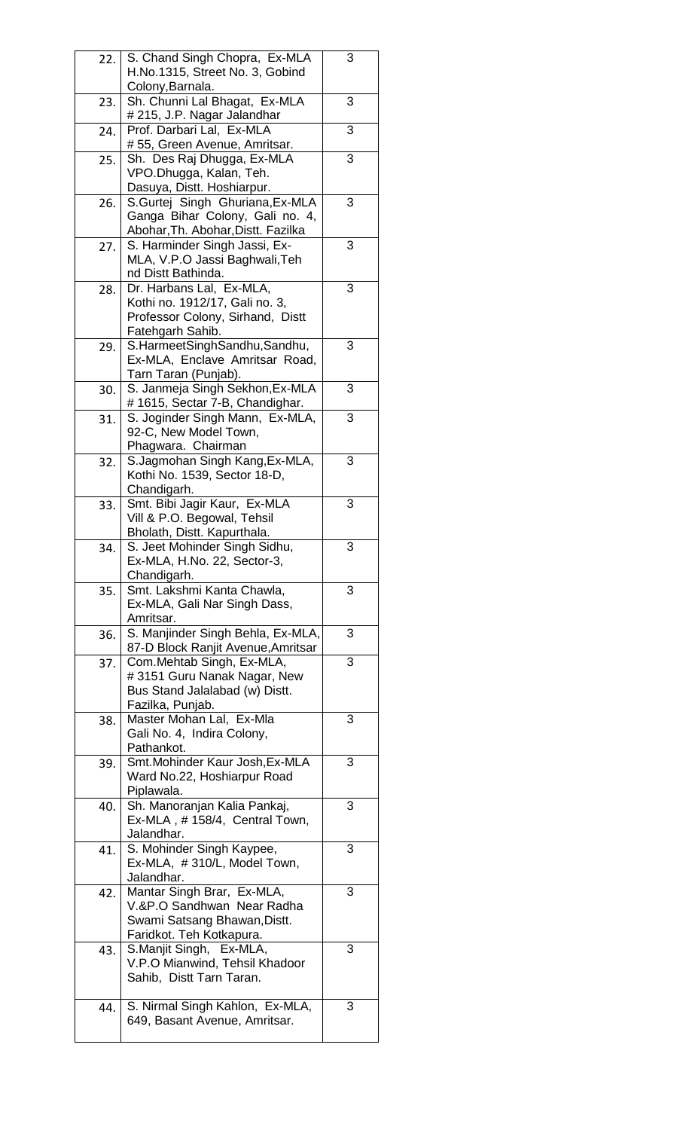| 22. |                                    |   |
|-----|------------------------------------|---|
|     | S. Chand Singh Chopra, Ex-MLA      | 3 |
|     | H.No.1315, Street No. 3, Gobind    |   |
|     | Colony, Barnala.                   |   |
|     |                                    |   |
| 23. | Sh. Chunni Lal Bhagat, Ex-MLA      | 3 |
|     | # 215, J.P. Nagar Jalandhar        |   |
| 24. | Prof. Darbari Lal, Ex-MLA          | 3 |
|     | # 55, Green Avenue, Amritsar.      |   |
| 25. | Sh. Des Raj Dhugga, Ex-MLA         | 3 |
|     | VPO.Dhugga, Kalan, Teh.            |   |
|     |                                    |   |
|     | Dasuya, Distt. Hoshiarpur.         |   |
| 26. | S.Gurtej Singh Ghuriana, Ex-MLA    | 3 |
|     | Ganga Bihar Colony, Gali no. 4,    |   |
|     | Abohar, Th. Abohar, Distt. Fazilka |   |
| 27. | S. Harminder Singh Jassi, Ex-      | 3 |
|     |                                    |   |
|     | MLA, V.P.O Jassi Baghwali, Teh     |   |
|     | nd Distt Bathinda.                 |   |
| 28. | Dr. Harbans Lal, Ex-MLA,           | 3 |
|     | Kothi no. 1912/17, Gali no. 3,     |   |
|     | Professor Colony, Sirhand, Distt   |   |
|     | Fatehgarh Sahib.                   |   |
|     |                                    |   |
| 29. | S.HarmeetSinghSandhu,Sandhu,       | 3 |
|     | Ex-MLA, Enclave Amritsar Road,     |   |
|     | Tarn Taran (Punjab).               |   |
| 30. | S. Janmeja Singh Sekhon, Ex-MLA    | 3 |
|     | #1615, Sectar 7-B, Chandighar.     |   |
|     | S. Joginder Singh Mann, Ex-MLA,    | 3 |
| 31. |                                    |   |
|     | 92-C, New Model Town,              |   |
|     | Phagwara. Chairman                 |   |
| 32. | S.Jagmohan Singh Kang, Ex-MLA,     | 3 |
|     | Kothi No. 1539, Sector 18-D,       |   |
|     | Chandigarh.                        |   |
| 33. | Smt. Bibi Jagir Kaur, Ex-MLA       | 3 |
|     |                                    |   |
|     | Vill & P.O. Begowal, Tehsil        |   |
|     | Bholath, Distt. Kapurthala.        |   |
| 34  | S. Jeet Mohinder Singh Sidhu,      | 3 |
|     | Ex-MLA, H.No. 22, Sector-3,        |   |
|     | Chandigarh.                        |   |
|     |                                    |   |
|     |                                    |   |
| 35. | Smt. Lakshmi Kanta Chawla,         | 3 |
|     | Ex-MLA, Gali Nar Singh Dass,       |   |
|     | Amritsar.                          |   |
| 36. | S. Manjinder Singh Behla, Ex-MLA,  | 3 |
|     |                                    |   |
|     | 87-D Block Ranjit Avenue, Amritsar |   |
| 37. | Com.Mehtab Singh, Ex-MLA,          | 3 |
|     | #3151 Guru Nanak Nagar, New        |   |
|     | Bus Stand Jalalabad (w) Distt.     |   |
|     | Fazilka, Punjab.                   |   |
| 38. | Master Mohan Lal, Ex-Mla           | 3 |
|     | Gali No. 4, Indira Colony,         |   |
|     |                                    |   |
|     | Pathankot.                         |   |
| 39. | Smt. Mohinder Kaur Josh, Ex-MLA    | 3 |
|     | Ward No.22, Hoshiarpur Road        |   |
|     | Piplawala.                         |   |
| 40. | Sh. Manoranjan Kalia Pankaj,       | 3 |
|     | Ex-MLA, #158/4, Central Town,      |   |
|     | Jalandhar.                         |   |
|     |                                    |   |
| 41. | S. Mohinder Singh Kaypee,          | 3 |
|     | Ex-MLA, #310/L, Model Town,        |   |
|     | Jalandhar.                         |   |
| 42. | Mantar Singh Brar, Ex-MLA.         | 3 |
|     | V.&P.O Sandhwan Near Radha         |   |
|     | Swami Satsang Bhawan, Distt.       |   |
|     |                                    |   |
|     | Faridkot. Teh Kotkapura.           |   |
| 43. | S.Manjit Singh, Ex-MLA,            | 3 |
|     | V.P.O Mianwind, Tehsil Khadoor     |   |
|     | Sahib, Distt Tarn Taran.           |   |
|     |                                    |   |
| 44. | S. Nirmal Singh Kahlon, Ex-MLA,    | 3 |
|     | 649, Basant Avenue, Amritsar.      |   |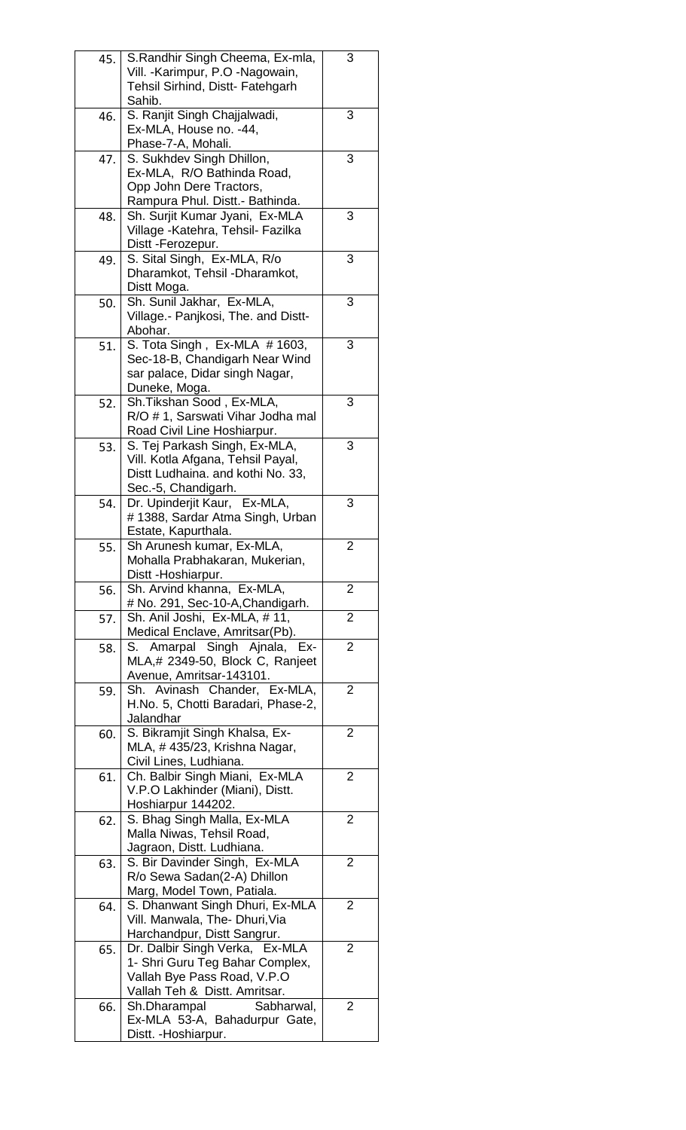| 45. | S. Randhir Singh Cheema, Ex-mla,                      | $\overline{3}$ |
|-----|-------------------------------------------------------|----------------|
|     | Vill. - Karimpur, P.O - Nagowain,                     |                |
|     | Tehsil Sirhind, Distt- Fatehgarh                      |                |
|     | Sahib.                                                |                |
| 46. | S. Ranjit Singh Chajjalwadi,                          | 3              |
|     | Ex-MLA, House no. -44,                                |                |
|     | Phase-7-A, Mohali.                                    |                |
| 47. | S. Sukhdev Singh Dhillon,                             | 3              |
|     | Ex-MLA, R/O Bathinda Road,                            |                |
|     | Opp John Dere Tractors,                               |                |
|     | Rampura Phul. Distt.- Bathinda.                       |                |
| 48. | Sh. Surjit Kumar Jyani, Ex-MLA                        | 3              |
|     | Village - Katehra, Tehsil- Fazilka                    |                |
|     | Distt -Ferozepur.                                     |                |
| 49. | S. Sital Singh, Ex-MLA, R/o                           | 3              |
|     | Dharamkot, Tehsil - Dharamkot,                        |                |
|     | Distt Moga.                                           |                |
| 50. | Sh. Sunil Jakhar, Ex-MLA,                             | 3              |
|     | Village.- Panjkosi, The. and Distt-                   |                |
|     | Abohar.                                               |                |
| 51. | S. Tota Singh, Ex-MLA #1603,                          | 3              |
|     | Sec-18-B, Chandigarh Near Wind                        |                |
|     | sar palace, Didar singh Nagar,                        |                |
|     |                                                       |                |
|     | Duneke, Moga.                                         | 3              |
| 52. | Sh.Tikshan Sood, Ex-MLA,                              |                |
|     | R/O # 1, Sarswati Vihar Jodha mal                     |                |
|     | Road Civil Line Hoshiarpur.                           |                |
| 53. | S. Tej Parkash Singh, Ex-MLA,                         | 3              |
|     | Vill. Kotla Afgana, Tehsil Payal,                     |                |
|     | Distt Ludhaina. and kothi No. 33,                     |                |
|     | Sec.-5, Chandigarh.                                   |                |
| 54. | Dr. Upinderjit Kaur, Ex-MLA,                          | 3              |
|     | #1388, Sardar Atma Singh, Urban                       |                |
|     | Estate, Kapurthala.                                   |                |
| 55. | Sh Arunesh kumar, Ex-MLA,                             | $\overline{2}$ |
|     | Mohalla Prabhakaran, Mukerian,                        |                |
|     | Distt -Hoshiarpur.                                    |                |
| 56. | Sh. Arvind khanna, Ex-MLA,                            | $\overline{2}$ |
|     | # No. 291, Sec-10-A, Chandigarh.                      |                |
| 57. | Sh. Anil Joshi, Ex-MLA, #11,                          | $\overline{2}$ |
|     | Medical Enclave, Amritsar(Pb).                        |                |
|     | S. Amarpal Singh Ajnala, Ex-                          | $\overline{2}$ |
| 58. | MLA,# 2349-50, Block C, Ranjeet                       |                |
|     |                                                       |                |
|     | Avenue, Amritsar-143101.                              |                |
| 59. | Sh. Avinash Chander, Ex-MLA,                          | 2              |
|     | H.No. 5, Chotti Baradari, Phase-2,                    |                |
|     | Jalandhar                                             |                |
| 60. | S. Bikramjit Singh Khalsa, Ex-                        | $\overline{2}$ |
|     | MLA, #435/23, Krishna Nagar,                          |                |
|     | Civil Lines, Ludhiana.                                |                |
|     | Ch. Balbir Singh Miani, Ex-MLA                        | $\overline{2}$ |
| 61. |                                                       |                |
|     | V.P.O Lakhinder (Miani), Distt.                       |                |
|     |                                                       |                |
|     | Hoshiarpur 144202.                                    | $\overline{2}$ |
| 62. | S. Bhag Singh Malla, Ex-MLA                           |                |
|     | Malla Niwas, Tehsil Road,                             |                |
|     | Jagraon, Distt. Ludhiana.                             |                |
| 63. | S. Bir Davinder Singh, Ex-MLA                         | $\overline{2}$ |
|     | R/o Sewa Sadan(2-A) Dhillon                           |                |
|     | Marg, Model Town, Patiala.                            |                |
| 64. | S. Dhanwant Singh Dhuri, Ex-MLA                       | 2              |
|     | Vill. Manwala, The- Dhuri, Via                        |                |
|     | Harchandpur, Distt Sangrur.                           |                |
| 65. | Dr. Dalbir Singh Verka, Ex-MLA                        | $\overline{2}$ |
|     | 1- Shri Guru Teg Bahar Complex,                       |                |
|     | Vallah Bye Pass Road, V.P.O                           |                |
|     | Vallah Teh & Distt. Amritsar.                         |                |
| 66. | Sh.Dharampal<br>Sabharwal,                            | $\overline{2}$ |
|     | Ex-MLA 53-A, Bahadurpur Gate,<br>Distt. - Hoshiarpur. |                |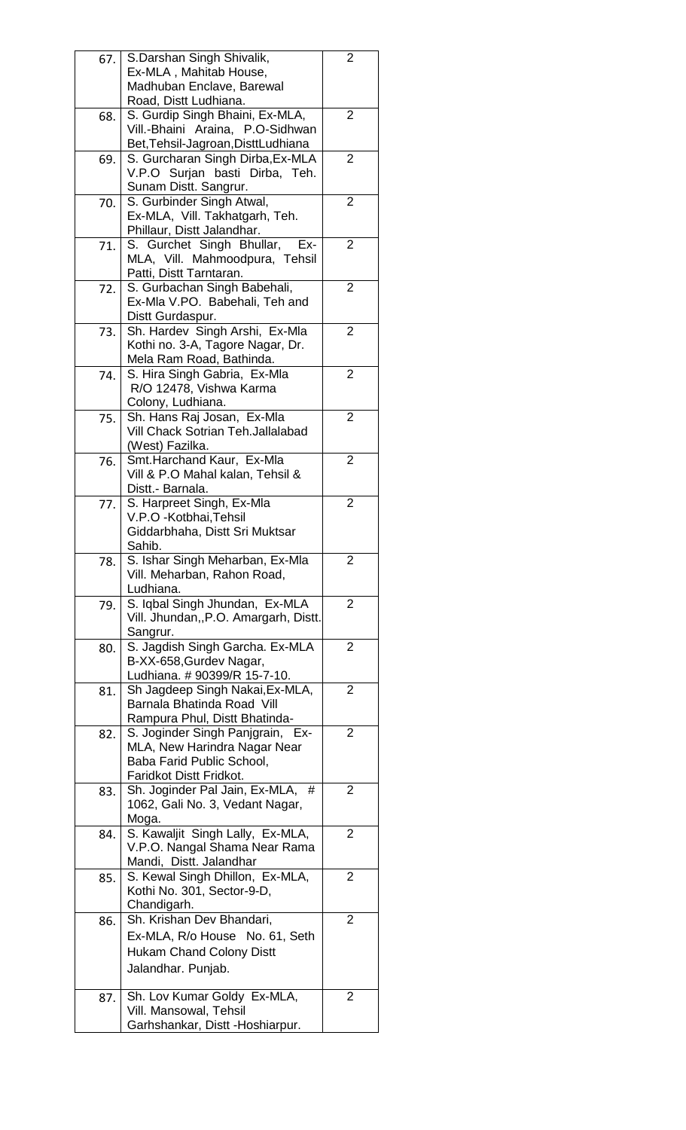| 67. | S.Darshan Singh Shivalik,                                     | 2              |
|-----|---------------------------------------------------------------|----------------|
|     | Ex-MLA, Mahitab House,                                        |                |
|     | Madhuban Enclave, Barewal                                     |                |
|     | Road, Distt Ludhiana.                                         |                |
| 68. | S. Gurdip Singh Bhaini, Ex-MLA,                               | 2              |
|     | Vill.-Bhaini Araina, P.O-Sidhwan                              |                |
|     | Bet, Tehsil-Jagroan, DisttLudhiana                            |                |
| 69. | S. Gurcharan Singh Dirba, Ex-MLA                              | $\overline{2}$ |
|     | V.P.O Surjan basti Dirba, Teh.                                |                |
|     | Sunam Distt. Sangrur.                                         |                |
| 70. | S. Gurbinder Singh Atwal,                                     | 2              |
|     | Ex-MLA, Vill. Takhatgarh, Teh.                                |                |
|     | Phillaur, Distt Jalandhar.                                    |                |
| 71. | S. Gurchet Singh Bhullar,<br>Ex-                              | 2              |
|     | MLA, Vill. Mahmoodpura, Tehsil                                |                |
|     | Patti, Distt Tarntaran.                                       |                |
| 72. | S. Gurbachan Singh Babehali,                                  | $\overline{2}$ |
|     | Ex-Mla V.PO. Babehali, Teh and                                |                |
|     | Distt Gurdaspur.                                              |                |
| 73. | Sh. Hardev Singh Arshi, Ex-Mla                                | 2              |
|     | Kothi no. 3-A, Tagore Nagar, Dr.                              |                |
|     | Mela Ram Road, Bathinda.                                      |                |
| 74. | S. Hira Singh Gabria, Ex-Mla                                  | 2              |
|     | R/O 12478, Vishwa Karma                                       |                |
|     | Colony, Ludhiana.                                             |                |
|     | Sh. Hans Raj Josan, Ex-Mla                                    | 2              |
| 75. | Vill Chack Sotrian Teh.Jallalabad                             |                |
|     |                                                               |                |
|     | (West) Fazilka.                                               | 2              |
| 76. | Smt. Harchand Kaur, Ex-Mla                                    |                |
|     | Vill & P.O Mahal kalan, Tehsil &                              |                |
|     | Distt.- Barnala.                                              |                |
| 77. | S. Harpreet Singh, Ex-Mla                                     | 2              |
|     | V.P.O -Kotbhai, Tehsil                                        |                |
|     | Giddarbhaha, Distt Sri Muktsar<br>Sahib.                      |                |
|     |                                                               |                |
| 78. | S. Ishar Singh Meharban, Ex-Mla                               | 2              |
|     | Vill. Meharban, Rahon Road,<br>Ludhiana.                      |                |
|     | S. Iqbal Singh Jhundan, Ex-MLA                                |                |
| 79. | Vill. Jhundan,, P.O. Amargarh, Distt.                         | 2              |
|     |                                                               |                |
|     | Sangrur.<br>S. Jagdish Singh Garcha. Ex-MLA                   | 2              |
| 80. |                                                               |                |
|     | B-XX-658, Gurdev Nagar,                                       |                |
|     | Ludhiana. # 90399/R 15-7-10.                                  |                |
| 81. | Sh Jagdeep Singh Nakai, Ex-MLA,<br>Barnala Bhatinda Road Vill | 2              |
|     |                                                               |                |
|     | Rampura Phul, Distt Bhatinda-                                 |                |
| 82. | S. Joginder Singh Panjgrain, Ex-                              | 2              |
|     | MLA, New Harindra Nagar Near                                  |                |
|     | Baba Farid Public School,                                     |                |
|     | Faridkot Distt Fridkot.                                       |                |
| 83. | Sh. Joginder Pal Jain, Ex-MLA,<br>#                           | 2              |
|     | 1062, Gali No. 3, Vedant Nagar,                               |                |
|     | Moga.                                                         |                |
| 84. | S. Kawaljit Singh Lally, Ex-MLA.                              | 2              |
|     | V.P.O. Nangal Shama Near Rama                                 |                |
|     | Mandi, Distt. Jalandhar                                       |                |
| 85. | S. Kewal Singh Dhillon, Ex-MLA,                               | 2              |
|     | Kothi No. 301, Sector-9-D,                                    |                |
|     | Chandigarh.                                                   |                |
| 86. | Sh. Krishan Dev Bhandari,                                     | 2              |
|     | Ex-MLA, R/o House No. 61, Seth                                |                |
|     | <b>Hukam Chand Colony Distt</b>                               |                |
|     | Jalandhar. Punjab.                                            |                |
|     |                                                               |                |
| 87. | Sh. Lov Kumar Goldy Ex-MLA,                                   | 2              |
|     | Vill. Mansowal, Tehsil                                        |                |
|     | Garhshankar, Distt -Hoshiarpur.                               |                |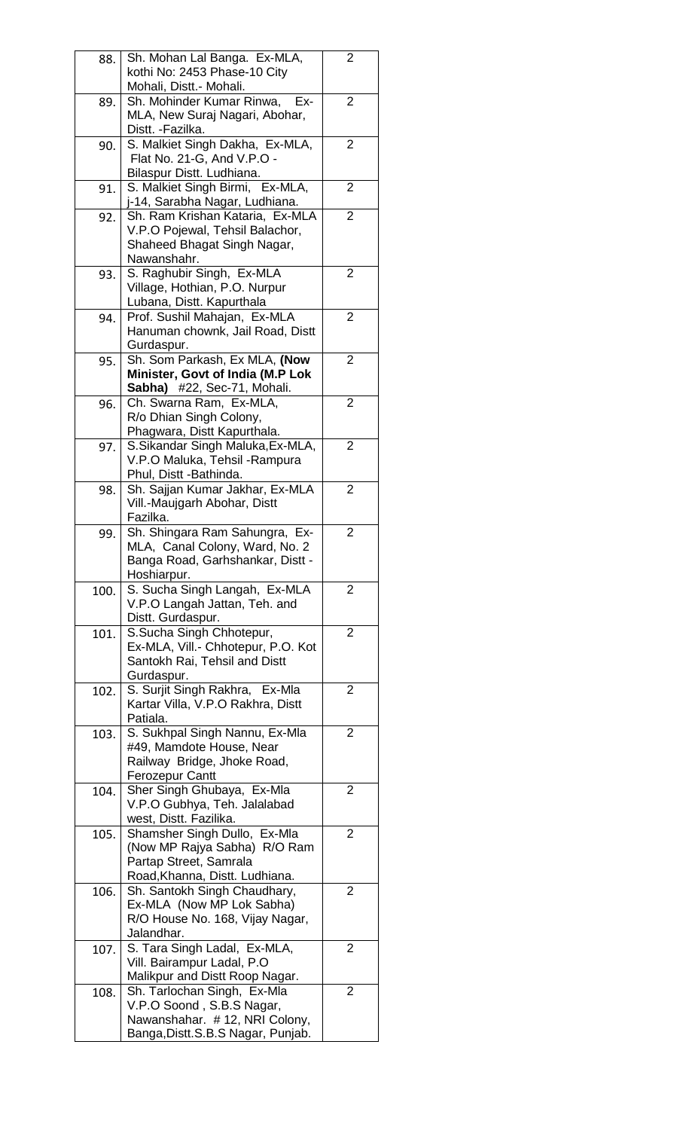| 88.  |                                                                       |                |
|------|-----------------------------------------------------------------------|----------------|
|      | Sh. Mohan Lal Banga. Ex-MLA,                                          | $\overline{2}$ |
|      | kothi No: 2453 Phase-10 City                                          |                |
|      | Mohali, Distt.- Mohali.                                               |                |
| 89.  | Sh. Mohinder Kumar Rinwa,<br>Ex-                                      | 2              |
|      |                                                                       |                |
|      | MLA, New Suraj Nagari, Abohar,                                        |                |
|      | Distt. -Fazilka.                                                      |                |
| 90.  | S. Malkiet Singh Dakha, Ex-MLA,                                       | 2              |
|      | Flat No. 21-G, And V.P.O -                                            |                |
|      | Bilaspur Distt. Ludhiana.                                             |                |
|      |                                                                       | 2              |
| 91.  | S. Malkiet Singh Birmi, Ex-MLA,                                       |                |
|      | j-14, Sarabha Nagar, Ludhiana.                                        |                |
| 92.  | Sh. Ram Krishan Kataria, Ex-MLA                                       | 2              |
|      | V.P.O Pojewal, Tehsil Balachor,                                       |                |
|      | Shaheed Bhagat Singh Nagar,                                           |                |
|      | Nawanshahr.                                                           |                |
|      |                                                                       |                |
| 93.  | S. Raghubir Singh, Ex-MLA                                             | 2              |
|      | Village, Hothian, P.O. Nurpur                                         |                |
|      | Lubana, Distt. Kapurthala                                             |                |
| 94.  | Prof. Sushil Mahajan, Ex-MLA                                          | 2              |
|      | Hanuman chownk, Jail Road, Distt                                      |                |
|      |                                                                       |                |
|      | Gurdaspur.                                                            |                |
| 95.  | Sh. Som Parkash, Ex MLA, (Now                                         | 2              |
|      | Minister, Govt of India (M.P Lok                                      |                |
|      | Sabha) #22, Sec-71, Mohali.                                           |                |
| 96.  | Ch. Swarna Ram, Ex-MLA,                                               | 2              |
|      |                                                                       |                |
|      | R/o Dhian Singh Colony,                                               |                |
|      | Phagwara, Distt Kapurthala.                                           |                |
| 97.  | S. Sikandar Singh Maluka, Ex-MLA,                                     | 2              |
|      | V.P.O Maluka, Tehsil -Rampura                                         |                |
|      | Phul, Distt -Bathinda.                                                |                |
|      |                                                                       |                |
| 98.  | Sh. Sajjan Kumar Jakhar, Ex-MLA                                       | 2              |
|      | Vill.-Maujgarh Abohar, Distt                                          |                |
|      | Fazilka.                                                              |                |
| 99.  | Sh. Shingara Ram Sahungra, Ex-                                        | 2              |
|      | MLA, Canal Colony, Ward, No. 2                                        |                |
|      |                                                                       |                |
|      | Banga Road, Garhshankar, Distt -                                      |                |
|      |                                                                       |                |
|      | Hoshiarpur.                                                           |                |
| 100. | S. Sucha Singh Langah, Ex-MLA                                         | 2              |
|      |                                                                       |                |
|      | V.P.O Langah Jattan, Teh. and                                         |                |
|      | Distt. Gurdaspur.                                                     |                |
| 101. | S.Sucha Singh Chhotepur,                                              | 2              |
|      | Ex-MLA, Vill.- Chhotepur, P.O. Kot                                    |                |
|      | Santokh Rai, Tehsil and Distt                                         |                |
|      | Gurdaspur.                                                            |                |
|      |                                                                       |                |
| 102. | S. Surjit Singh Rakhra, Ex-Mla                                        | 2              |
|      | Kartar Villa, V.P.O Rakhra, Distt                                     |                |
|      | Patiala.                                                              |                |
| 103. | S. Sukhpal Singh Nannu, Ex-Mla                                        | 2              |
|      | #49, Mamdote House, Near                                              |                |
|      | Railway Bridge, Jhoke Road,                                           |                |
|      |                                                                       |                |
|      | Ferozepur Cantt                                                       |                |
| 104. | Sher Singh Ghubaya, Ex-Mla                                            | 2              |
|      | V.P.O Gubhya, Teh. Jalalabad                                          |                |
|      | west, Distt. Fazilika.                                                |                |
| 105. | Shamsher Singh Dullo, Ex-Mla                                          | 2              |
|      |                                                                       |                |
|      | (Now MP Rajya Sabha) R/O Ram                                          |                |
|      | Partap Street, Samrala                                                |                |
|      | Road, Khanna, Distt. Ludhiana.                                        |                |
| 106. | Sh. Santokh Singh Chaudhary,                                          | $\overline{2}$ |
|      | Ex-MLA (Now MP Lok Sabha)                                             |                |
|      | R/O House No. 168, Vijay Nagar,                                       |                |
|      | Jalandhar.                                                            |                |
|      |                                                                       |                |
| 107. | S. Tara Singh Ladal, Ex-MLA,                                          | 2              |
|      | Vill. Bairampur Ladal, P.O                                            |                |
|      | Malikpur and Distt Roop Nagar.                                        |                |
| 108. | Sh. Tarlochan Singh, Ex-Mla                                           | 2              |
|      |                                                                       |                |
|      | V.P.O Soond, S.B.S Nagar,                                             |                |
|      | Nawanshahar. # 12, NRI Colony,<br>Banga, Distt. S.B. S Nagar, Punjab. |                |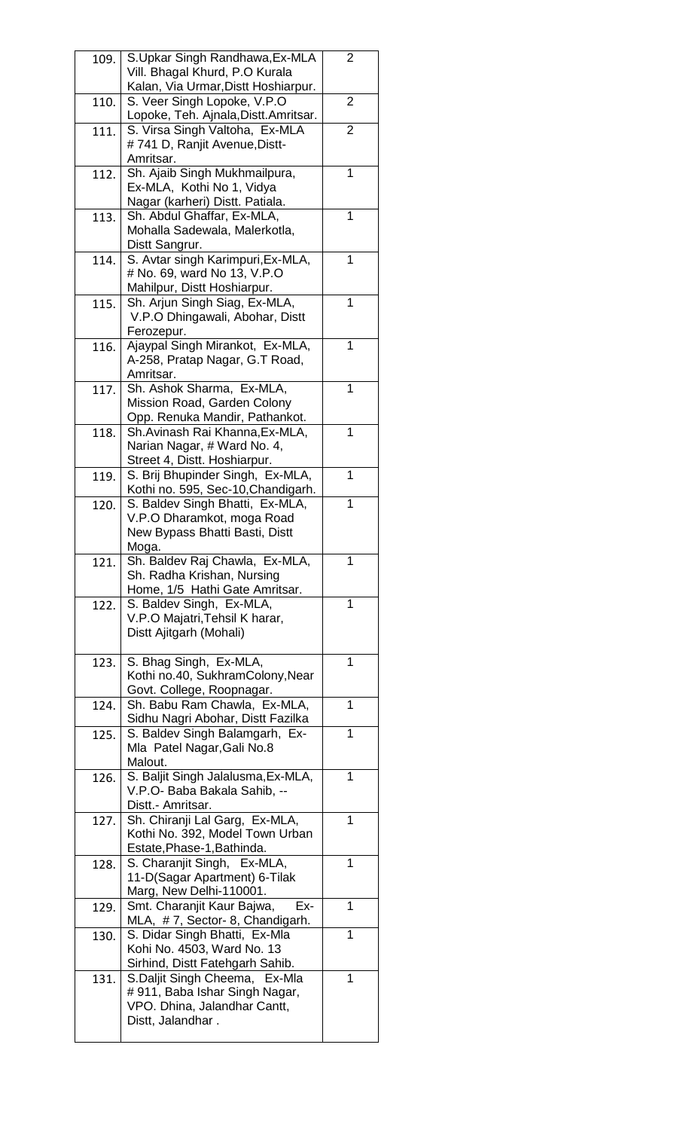| 109. | S.Upkar Singh Randhawa, Ex-MLA        | 2 |
|------|---------------------------------------|---|
|      | Vill. Bhagal Khurd, P.O Kurala        |   |
|      | Kalan, Via Urmar, Distt Hoshiarpur.   |   |
|      |                                       |   |
| 110. | S. Veer Singh Lopoke, V.P.O           | 2 |
|      | Lopoke, Teh. Ajnala, Distt. Amritsar. |   |
| 111. | S. Virsa Singh Valtoha, Ex-MLA        | 2 |
|      |                                       |   |
|      | #741 D, Ranjit Avenue, Distt-         |   |
|      | Amritsar.                             |   |
| 112. | Sh. Ajaib Singh Mukhmailpura,         | 1 |
|      | Ex-MLA, Kothi No 1, Vidya             |   |
|      |                                       |   |
|      | Nagar (karheri) Distt. Patiala.       |   |
| 113. | Sh. Abdul Ghaffar, Ex-MLA,            | 1 |
|      | Mohalla Sadewala, Malerkotla,         |   |
|      |                                       |   |
|      | Distt Sangrur.                        |   |
| 114. | S. Avtar singh Karimpuri, Ex-MLA,     | 1 |
|      | # No. 69, ward No 13, V.P.O           |   |
|      |                                       |   |
|      | Mahilpur, Distt Hoshiarpur.           |   |
| 115. | Sh. Arjun Singh Siag, Ex-MLA,         | 1 |
|      | V.P.O Dhingawali, Abohar, Distt       |   |
|      |                                       |   |
|      | Ferozepur.                            |   |
| 116. | Ajaypal Singh Mirankot, Ex-MLA,       | 1 |
|      | A-258, Pratap Nagar, G.T Road,        |   |
|      |                                       |   |
|      | Amritsar.                             |   |
| 117. | Sh. Ashok Sharma, Ex-MLA,             | 1 |
|      | Mission Road, Garden Colony           |   |
|      |                                       |   |
|      | Opp. Renuka Mandir, Pathankot.        |   |
| 118. | Sh.Avinash Rai Khanna, Ex-MLA,        | 1 |
|      | Narian Nagar, # Ward No. 4,           |   |
|      | Street 4, Distt. Hoshiarpur.          |   |
|      |                                       |   |
| 119. | S. Brij Bhupinder Singh, Ex-MLA,      | 1 |
|      | Kothi no. 595, Sec-10, Chandigarh.    |   |
| 120. | S. Baldev Singh Bhatti, Ex-MLA,       | 1 |
|      |                                       |   |
|      | V.P.O Dharamkot, moga Road            |   |
|      | New Bypass Bhatti Basti, Distt        |   |
|      | Moga.                                 |   |
|      |                                       |   |
|      |                                       |   |
| 121. | Sh. Baldev Raj Chawla, Ex-MLA,        | 1 |
|      | Sh. Radha Krishan, Nursing            |   |
|      |                                       |   |
|      | Home, 1/5 Hathi Gate Amritsar.        |   |
| 122. | S. Baldev Singh, Ex-MLA,              | 1 |
|      | V.P.O Majatri, Tehsil K harar,        |   |
|      | Distt Ajitgarh (Mohali)               |   |
|      |                                       |   |
|      |                                       |   |
| 123. | S. Bhag Singh, Ex-MLA,                | 1 |
|      | Kothi no.40, SukhramColony, Near      |   |
|      |                                       |   |
|      | Govt. College, Roopnagar.             |   |
| 124. | Sh. Babu Ram Chawla, Ex-MLA,          | 1 |
|      | Sidhu Nagri Abohar, Distt Fazilka     |   |
| 125. | S. Baldev Singh Balamgarh, Ex-        | 1 |
|      |                                       |   |
|      | Mla Patel Nagar, Gali No.8            |   |
|      | Malout.                               |   |
| 126. | S. Baljit Singh Jalalusma, Ex-MLA,    | 1 |
|      | V.P.O- Baba Bakala Sahib, --          |   |
|      |                                       |   |
|      | Distt.- Amritsar.                     |   |
| 127. | Sh. Chiranji Lal Garg, Ex-MLA,        | 1 |
|      | Kothi No. 392, Model Town Urban       |   |
|      |                                       |   |
|      | Estate, Phase-1, Bathinda.            |   |
| 128. | S. Charanjit Singh, Ex-MLA,           | 1 |
|      | 11-D(Sagar Apartment) 6-Tilak         |   |
|      | Marg, New Delhi-110001.               |   |
|      |                                       | 1 |
| 129. | Smt. Charanjit Kaur Bajwa,<br>Ex-     |   |
|      | MLA, #7, Sector- 8, Chandigarh.       |   |
| 130. | S. Didar Singh Bhatti, Ex-Mla         | 1 |
|      | Kohi No. 4503, Ward No. 13            |   |
|      |                                       |   |
|      | Sirhind, Distt Fatehgarh Sahib.       |   |
| 131. | S.Daljit Singh Cheema, Ex-Mla         | 1 |
|      | #911, Baba Ishar Singh Nagar,         |   |
|      |                                       |   |
|      | VPO. Dhina, Jalandhar Cantt,          |   |
|      | Distt, Jalandhar.                     |   |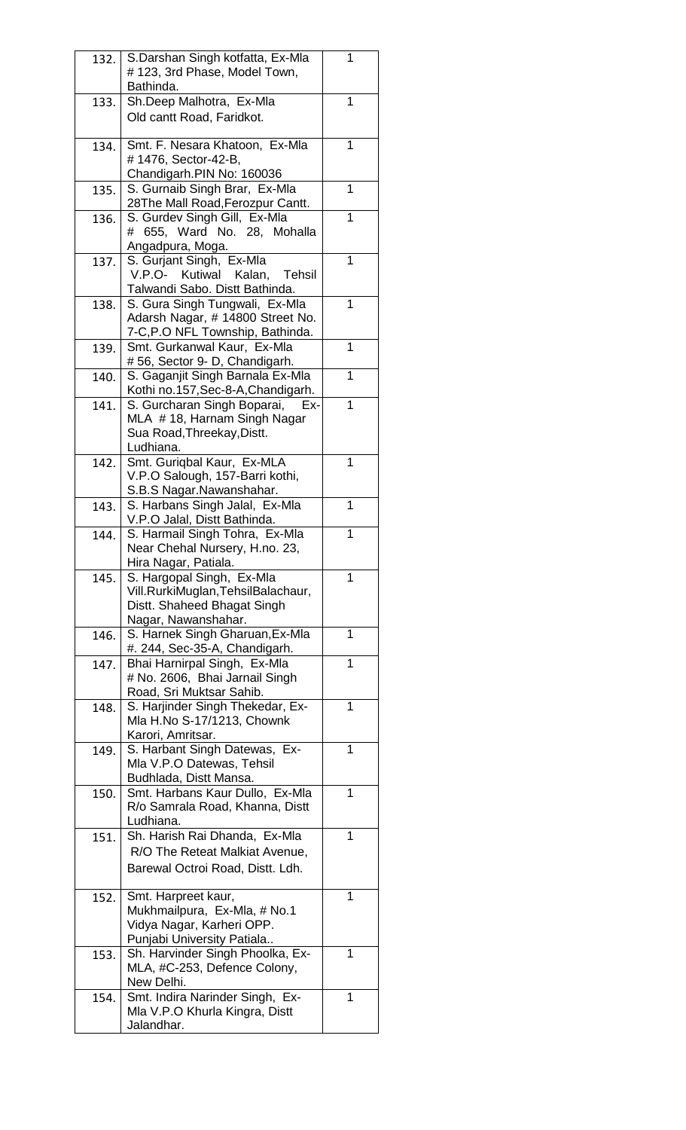| 132. | S.Darshan Singh kotfatta, Ex-Mla<br>#123, 3rd Phase, Model Town,<br>Bathinda.                                        | 1 |
|------|----------------------------------------------------------------------------------------------------------------------|---|
| 133. | Sh.Deep Malhotra, Ex-Mla<br>Old cantt Road, Faridkot.                                                                | 1 |
| 134. | Smt. F. Nesara Khatoon, Ex-Mla<br>#1476, Sector-42-B,<br>Chandigarh.PIN No: 160036                                   | 1 |
| 135. | S. Gurnaib Singh Brar, Ex-Mla<br>28The Mall Road, Ferozpur Cantt.                                                    | 1 |
| 136. | S. Gurdev Singh Gill, Ex-Mla<br># 655, Ward No. 28, Mohalla<br>Angadpura, Moga.                                      | 1 |
| 137. | S. Gurjant Singh, Ex-Mla<br>V.P.O- Kutiwal Kalan,<br>Tehsil<br>Talwandi Sabo. Distt Bathinda.                        | 1 |
| 138. | S. Gura Singh Tungwali, Ex-Mla<br>Adarsh Nagar, # 14800 Street No.<br>7-C, P.O NFL Township, Bathinda.               | 1 |
| 139. | Smt. Gurkanwal Kaur, Ex-Mla<br>#56, Sector 9- D, Chandigarh.                                                         | 1 |
| 140. | S. Gaganjit Singh Barnala Ex-Mla<br>Kothi no.157, Sec-8-A, Chandigarh.                                               | 1 |
| 141. | S. Gurcharan Singh Boparai,<br>Ex-<br>MLA #18, Harnam Singh Nagar<br>Sua Road, Threekay, Distt.<br>Ludhiana.         | 1 |
| 142. | Smt. Guriqbal Kaur, Ex-MLA<br>V.P.O Salough, 157-Barri kothi,<br>S.B.S Nagar.Nawanshahar.                            | 1 |
| 143. | S. Harbans Singh Jalal, Ex-Mla<br>V.P.O Jalal, Distt Bathinda.                                                       | 1 |
| 144. | S. Harmail Singh Tohra, Ex-Mla<br>Near Chehal Nursery, H.no. 23<br>Hira Nagar, Patiala.                              | 1 |
| 145. | S. Hargopal Singh, Ex-Mla<br>Vill.RurkiMuglan,TehsilBalachaur,<br>Distt. Shaheed Bhagat Singh<br>Nagar, Nawanshahar. | 1 |
| 146. | S. Harnek Singh Gharuan, Ex-Mla<br>#. 244, Sec-35-A, Chandigarh.                                                     | 1 |
| 147. | Bhai Harnirpal Singh, Ex-Mla<br># No. 2606, Bhai Jarnail Singh<br>Road, Sri Muktsar Sahib.                           | 1 |
| 148. | S. Harjinder Singh Thekedar, Ex-<br>Mla H.No S-17/1213, Chownk<br>Karori, Amritsar.                                  | 1 |
| 149. | S. Harbant Singh Datewas, Ex-<br>Mla V.P.O Datewas, Tehsil<br>Budhlada, Distt Mansa.                                 | 1 |
| 150. | Smt. Harbans Kaur Dullo, Ex-Mla<br>R/o Samrala Road, Khanna, Distt<br>Ludhiana.                                      | 1 |
| 151. | Sh. Harish Rai Dhanda, Ex-Mla<br>R/O The Reteat Malkiat Avenue,<br>Barewal Octroi Road, Distt. Ldh.                  | 1 |
| 152. | Smt. Harpreet kaur,<br>Mukhmailpura, Ex-Mla, # No.1<br>Vidya Nagar, Karheri OPP.<br>Punjabi University Patiala       | 1 |
| 153. | Sh. Harvinder Singh Phoolka, Ex-<br>MLA, #C-253, Defence Colony,<br>New Delhi.                                       | 1 |
| 154. | Smt. Indira Narinder Singh, Ex-<br>Mla V.P.O Khurla Kingra, Distt<br>Jalandhar.                                      | 1 |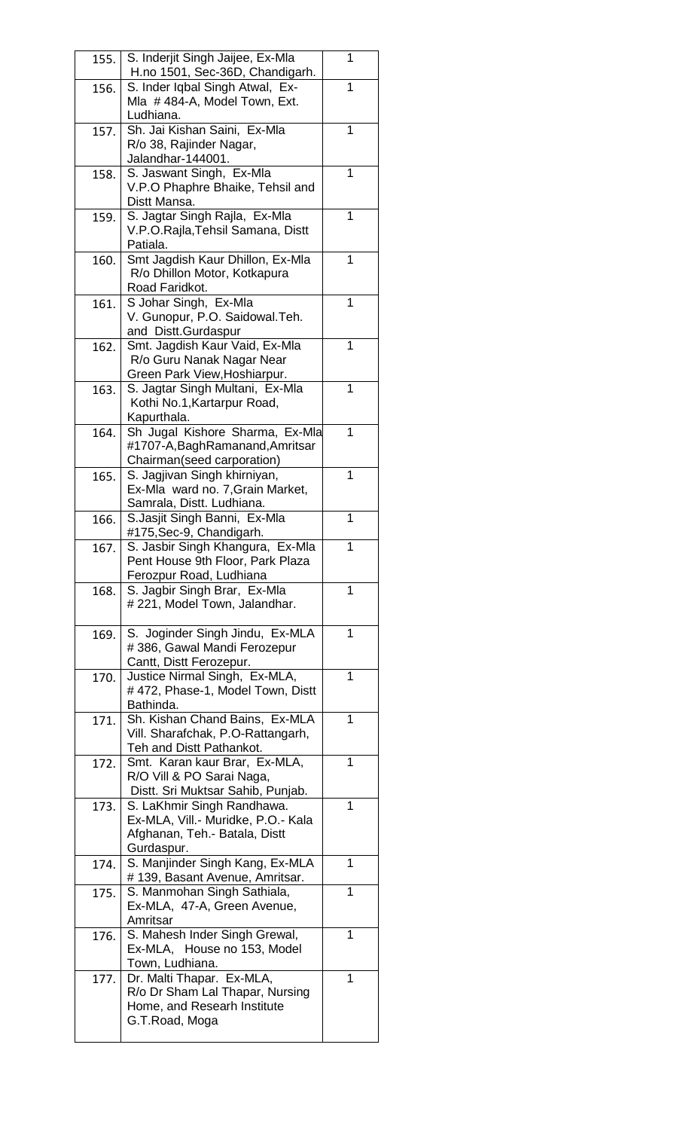| 155. | S. Inderjit Singh Jaijee, Ex-Mla                                 | 1 |
|------|------------------------------------------------------------------|---|
|      | H.no 1501, Sec-36D, Chandigarh.                                  | 1 |
| 156. | S. Inder Iqbal Singh Atwal, Ex-<br>Mla #484-A, Model Town, Ext.  |   |
|      | Ludhiana.                                                        |   |
| 157. | Sh. Jai Kishan Saini, Ex-Mla                                     | 1 |
|      | R/o 38, Rajinder Nagar,                                          |   |
|      | Jalandhar-144001.                                                |   |
| 158. | S. Jaswant Singh, Ex-Mla                                         | 1 |
|      | V.P.O Phaphre Bhaike, Tehsil and                                 |   |
|      | Distt Mansa.                                                     |   |
| 159. | S. Jagtar Singh Rajla, Ex-Mla                                    | 1 |
|      | V.P.O.Rajla, Tehsil Samana, Distt                                |   |
|      | Patiala.                                                         |   |
| 160. | Smt Jagdish Kaur Dhillon, Ex-Mla<br>R/o Dhillon Motor, Kotkapura | 1 |
|      | Road Faridkot.                                                   |   |
| 161. | S Johar Singh, Ex-Mla                                            | 1 |
|      | V. Gunopur, P.O. Saidowal.Teh.                                   |   |
|      | and Distt.Gurdaspur                                              |   |
| 162. | Smt. Jagdish Kaur Vaid, Ex-Mla                                   | 1 |
|      | R/o Guru Nanak Nagar Near                                        |   |
|      | Green Park View, Hoshiarpur.                                     |   |
| 163. | S. Jagtar Singh Multani, Ex-Mla                                  | 1 |
|      | Kothi No.1, Kartarpur Road,                                      |   |
|      | Kapurthala.                                                      |   |
| 164. | Sh Jugal Kishore Sharma, Ex-Mla                                  | 1 |
|      | #1707-A, Bagh Ramanand, Amritsar                                 |   |
| 165. | Chairman(seed carporation)<br>S. Jagjivan Singh khirniyan,       | 1 |
|      | Ex-Mla ward no. 7, Grain Market,                                 |   |
|      | Samrala, Distt. Ludhiana.                                        |   |
| 166. | S.Jasjit Singh Banni, Ex-Mla                                     | 1 |
|      | #175, Sec-9, Chandigarh.                                         |   |
| 167  | S. Jasbir Singh Khangura, Ex-Mla                                 | 1 |
|      | Pent House 9th Floor, Park Plaza                                 |   |
|      | Ferozpur Road, Ludhiana                                          |   |
| 168. | S. Jagbir Singh Brar, Ex-Mla                                     | 1 |
|      | # 221, Model Town, Jalandhar.                                    |   |
| 169. | S. Joginder Singh Jindu, Ex-MLA                                  | 1 |
|      | #386, Gawal Mandi Ferozepur                                      |   |
|      | Cantt, Distt Ferozepur.                                          |   |
| 170. | Justice Nirmal Singh, Ex-MLA,                                    | 1 |
|      | #472, Phase-1, Model Town, Distt                                 |   |
|      | Bathinda.                                                        |   |
| 171. | Sh. Kishan Chand Bains, Ex-MLA                                   | 1 |
|      | Vill. Sharafchak, P.O-Rattangarh,                                |   |
|      | Teh and Distt Pathankot.                                         |   |
| 172. | Smt. Karan kaur Brar, Ex-MLA,                                    | 1 |
|      | R/O Vill & PO Sarai Naga,                                        |   |
| 173. | Distt. Sri Muktsar Sahib, Punjab.<br>S. LaKhmir Singh Randhawa.  | 1 |
|      | Ex-MLA, Vill.- Muridke, P.O.- Kala                               |   |
|      | Afghanan, Teh.- Batala, Distt                                    |   |
|      | Gurdaspur.                                                       |   |
| 174. | S. Manjinder Singh Kang, Ex-MLA                                  | 1 |
|      | # 139, Basant Avenue, Amritsar.                                  |   |
| 175. | S. Manmohan Singh Sathiala,                                      | 1 |
|      | Ex-MLA, 47-A, Green Avenue,                                      |   |
|      | Amritsar                                                         |   |
| 176. | S. Mahesh Inder Singh Grewal,                                    | 1 |
|      | Ex-MLA, House no 153, Model                                      |   |
|      | Town, Ludhiana.<br>Dr. Malti Thapar. Ex-MLA,                     | 1 |
| 177. | R/o Dr Sham Lal Thapar, Nursing                                  |   |
|      | Home, and Researh Institute                                      |   |
|      | G.T.Road, Moga                                                   |   |
|      |                                                                  |   |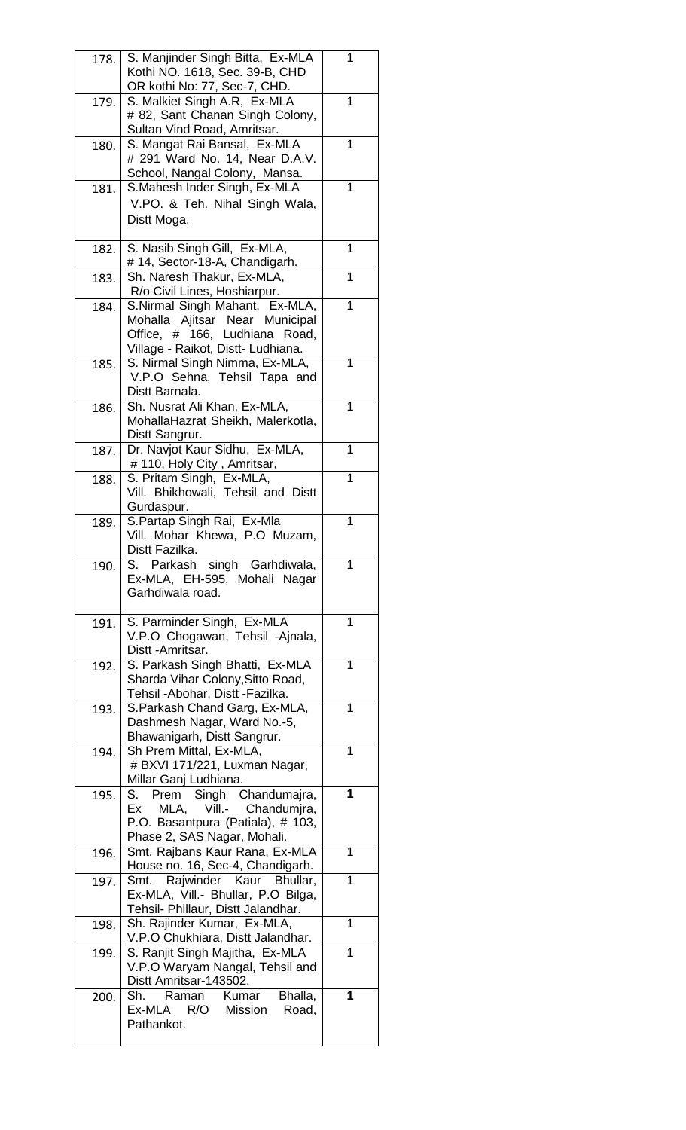| 178. | S. Manjinder Singh Bitta, Ex-MLA<br>Kothi NO. 1618, Sec. 39-B, CHD                                                                      | 1 |
|------|-----------------------------------------------------------------------------------------------------------------------------------------|---|
| 179. | OR kothi No: 77, Sec-7, CHD.<br>S. Malkiet Singh A.R, Ex-MLA<br># 82, Sant Chanan Singh Colony,                                         | 1 |
| 180. | Sultan Vind Road, Amritsar.<br>S. Mangat Rai Bansal, Ex-MLA                                                                             | 1 |
|      | # 291 Ward No. 14, Near D.A.V.<br>School, Nangal Colony, Mansa.<br>S.Mahesh Inder Singh, Ex-MLA                                         | 1 |
| 181. | V.PO. & Teh. Nihal Singh Wala,<br>Distt Moga.                                                                                           |   |
| 182. | S. Nasib Singh Gill, Ex-MLA,<br>#14, Sector-18-A, Chandigarh.                                                                           | 1 |
| 183. | Sh. Naresh Thakur, Ex-MLA,<br>R/o Civil Lines, Hoshiarpur.                                                                              | 1 |
| 184. | S.Nirmal Singh Mahant, Ex-MLA,<br>Mohalla Ajitsar Near Municipal<br>Office, # 166, Ludhiana Road,<br>Village - Raikot, Distt- Ludhiana. | 1 |
| 185. | S. Nirmal Singh Nimma, Ex-MLA,<br>V.P.O Sehna, Tehsil Tapa and<br>Distt Barnala.                                                        | 1 |
| 186. | Sh. Nusrat Ali Khan, Ex-MLA,<br>MohallaHazrat Sheikh, Malerkotla,<br>Distt Sangrur.                                                     | 1 |
| 187. | Dr. Navjot Kaur Sidhu, Ex-MLA,<br># 110, Holy City, Amritsar,                                                                           | 1 |
| 188. | S. Pritam Singh, Ex-MLA,<br>Vill. Bhikhowali, Tehsil and Distt<br>Gurdaspur.                                                            | 1 |
| 189. | S.Partap Singh Rai, Ex-Mla<br>Vill. Mohar Khewa, P.O Muzam,<br>Distt Fazilka.                                                           | 1 |
| 190. | S. Parkash singh Garhdiwala,<br>Ex-MLA, EH-595, Mohali Nagar<br>Garhdiwala road.                                                        | 1 |
| 191. | S. Parminder Singh, Ex-MLA<br>V.P.O Chogawan, Tehsil -Ajnala,<br>Distt - Amritsar.                                                      | 1 |
| 192. | S. Parkash Singh Bhatti, Ex-MLA<br>Sharda Vihar Colony, Sitto Road,<br>Tehsil - Abohar, Distt - Fazilka.                                | 1 |
| 193. | S. Parkash Chand Garg, Ex-MLA,<br>Dashmesh Nagar, Ward No.-5,<br>Bhawanigarh, Distt Sangrur.                                            | 1 |
| 194. | Sh Prem Mittal, Ex-MLA,<br># BXVI 171/221, Luxman Nagar,<br>Millar Ganj Ludhiana.                                                       | 1 |
| 195. | S. Prem Singh Chandumajra,<br>MLA, Vill.- Chandumira,<br>Ex<br>P.O. Basantpura (Patiala), # 103,<br>Phase 2, SAS Nagar, Mohali.         | 1 |
| 196. | Smt. Rajbans Kaur Rana, Ex-MLA<br>House no. 16, Sec-4, Chandigarh.                                                                      | 1 |
| 197. | Smt. Rajwinder Kaur Bhullar,<br>Ex-MLA, Vill.- Bhullar, P.O Bilga,<br>Tehsil- Phillaur, Distt Jalandhar.                                | 1 |
| 198. | Sh. Rajinder Kumar, Ex-MLA,<br>V.P.O Chukhiara, Distt Jalandhar.                                                                        | 1 |
| 199. | S. Ranjit Singh Majitha, Ex-MLA<br>V.P.O Waryam Nangal, Tehsil and<br>Distt Amritsar-143502.                                            | 1 |
| 200. | Bhalla,<br>Sh. Raman Kumar<br>Ex-MLA R/O Mission<br>Road,<br>Pathankot.                                                                 | 1 |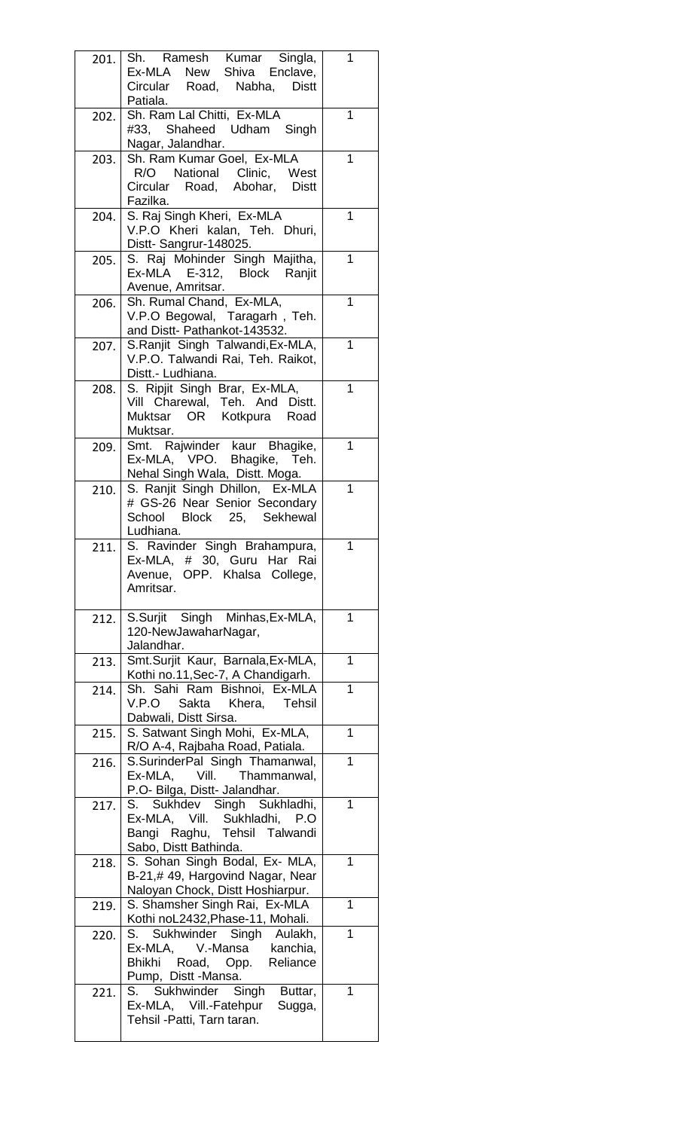| 201. |                                                                                      |   |
|------|--------------------------------------------------------------------------------------|---|
|      | Sh. Ramesh Kumar Singla,<br>Ex-MLA New Shiva Enclave,<br>Circular Road, Nabha, Distt | 1 |
|      | Patiala.                                                                             |   |
| 202. | Sh. Ram Lal Chitti, Ex-MLA                                                           | 1 |
|      | #33, Shaheed Udham Singh                                                             |   |
|      | Nagar, Jalandhar.                                                                    |   |
| 203. | Sh. Ram Kumar Goel, Ex-MLA                                                           | 1 |
|      | R/O National Clinic, West                                                            |   |
|      | Circular Road, Abohar, Distt                                                         |   |
|      | Fazilka.                                                                             |   |
| 204. | S. Raj Singh Kheri, Ex-MLA                                                           | 1 |
|      | V.P.O Kheri kalan, Teh. Dhuri,                                                       |   |
|      | Distt-Sangrur-148025.                                                                |   |
| 205. | S. Raj Mohinder Singh Majitha,                                                       | 1 |
|      | Ex-MLA E-312, Block Ranjit                                                           |   |
|      | Avenue, Amritsar.                                                                    |   |
| 206. | Sh. Rumal Chand, Ex-MLA,                                                             | 1 |
|      | V.P.O Begowal, Taragarh, Teh.                                                        |   |
|      | and Distt- Pathankot-143532.                                                         | 1 |
| 207. | S.Ranjit Singh Talwandi, Ex-MLA,<br>V.P.O. Talwandi Rai, Teh. Raikot,                |   |
|      | Distt.- Ludhiana.                                                                    |   |
| 208. | S. Ripjit Singh Brar, Ex-MLA,                                                        | 1 |
|      | Vill Charewal, Teh. And Distt.                                                       |   |
|      | Muktsar OR Kotkpura Road                                                             |   |
|      | Muktsar.                                                                             |   |
| 209. | Smt. Rajwinder kaur Bhagike,                                                         | 1 |
|      | Ex-MLA, VPO. Bhagike, Teh.                                                           |   |
|      | Nehal Singh Wala, Distt. Moga.                                                       |   |
| 210. | S. Ranjit Singh Dhillon, Ex-MLA                                                      | 1 |
|      | # GS-26 Near Senior Secondary                                                        |   |
|      | School Block 25, Sekhewal                                                            |   |
|      | Ludhiana.                                                                            |   |
| 211  | S. Ravinder Singh Brahampura,                                                        | 1 |
|      | Ex-MLA, # 30, Guru Har Rai                                                           |   |
|      | Avenue, OPP. Khalsa College,                                                         |   |
|      | Amritsar.                                                                            |   |
| 212. | S.Surjit Singh Minhas, Ex-MLA,                                                       | 1 |
|      | 120-NewJawaharNagar,                                                                 |   |
|      | Jalandhar.                                                                           |   |
| 213. | Smt.Surjit Kaur, Barnala, Ex-MLA,                                                    | 1 |
|      | Kothi no.11, Sec-7, A Chandigarh.                                                    |   |
| 214. |                                                                                      |   |
|      | Sh. Sahi Ram Bishnoi, Ex-MLA                                                         | 1 |
|      | V.P.O Sakta Khera, Tehsil                                                            |   |
|      | Dabwali, Distt Sirsa.                                                                |   |
| 215. | S. Satwant Singh Mohi, Ex-MLA,                                                       | 1 |
|      | R/O A-4, Rajbaha Road, Patiala.                                                      |   |
| 216. | S.SurinderPal Singh Thamanwal,                                                       | 1 |
|      | Ex-MLA, Vill. Thammanwal,                                                            |   |
|      | P.O- Bilga, Distt- Jalandhar.                                                        |   |
| 217. | S. Sukhdev Singh Sukhladhi,                                                          | 1 |
|      | Ex-MLA, Vill. Sukhladhi, P.O                                                         |   |
|      | Bangi Raghu, Tehsil Talwandi                                                         |   |
|      | Sabo, Distt Bathinda.                                                                | 1 |
| 218. | S. Sohan Singh Bodal, Ex- MLA,                                                       |   |
|      | B-21,# 49, Hargovind Nagar, Near<br>Naloyan Chock, Distt Hoshiarpur.                 |   |
| 219. | S. Shamsher Singh Rai, Ex-MLA                                                        | 1 |
|      | Kothi noL2432, Phase-11, Mohali.                                                     |   |
| 220. | S. Sukhwinder Singh Aulakh,                                                          | 1 |
|      | Ex-MLA, V.-Mansa kanchia,                                                            |   |
|      | Bhikhi Road, Opp. Reliance                                                           |   |
|      | Pump, Distt -Mansa.                                                                  |   |
| 221. | S. Sukhwinder Singh Buttar,                                                          | 1 |
|      | Ex-MLA, Vill.-Fatehpur Sugga,                                                        |   |
|      | Tehsil - Patti, Tarn taran.                                                          |   |